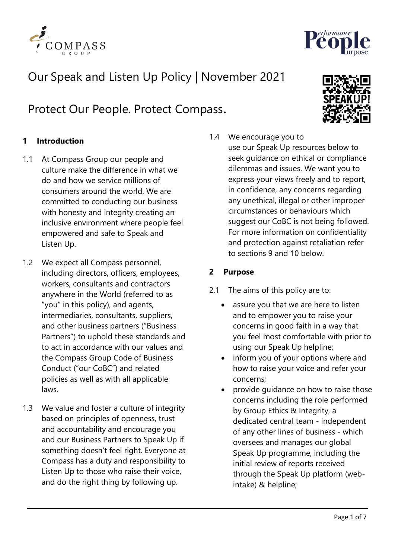

# Our Speak and Listen Up Policy | November 2021

Protect Our People. Protect Compass.

# **1 Introduction**

- 1.1 At Compass Group our people and culture make the difference in what we do and how we service millions of consumers around the world. We are committed to conducting our business with honesty and integrity creating an inclusive environment where people feel empowered and safe to Speak and Listen Up.
- 1.2 We expect all Compass personnel, including directors, officers, employees, workers, consultants and contractors anywhere in the World (referred to as "you" in this policy), and agents, intermediaries, consultants, suppliers, and other business partners ("Business Partners") to uphold these standards and to act in accordance with our values and the Compass Group Code of Business Conduct ("our CoBC") and related policies as well as with all applicable laws.
- 1.3 We value and foster a culture of integrity based on principles of openness, trust and accountability and encourage you and our Business Partners to Speak Up if something doesn't feel right. Everyone at Compass has a duty and responsibility to Listen Up to those who raise their voice, and do the right thing by following up.



1.4 We encourage you to use our Speak Up resources below to seek guidance on ethical or compliance dilemmas and issues. We want you to express your views freely and to report, in confidence, any concerns regarding any unethical, illegal or other improper circumstances or behaviours which suggest our CoBC is not being followed. For more information on confidentiality and protection against retaliation refer to sections 9 and 10 below.

#### **2 Purpose**

- 2.1 The aims of this policy are to:
	- assure you that we are here to listen and to empower you to raise your concerns in good faith in a way that you feel most comfortable with prior to using our Speak Up helpline;
	- inform you of your options where and how to raise your voice and refer your concerns;
	- provide guidance on how to raise those concerns including the role performed by Group Ethics & Integrity, a dedicated central team - independent of any other lines of business - which oversees and manages our global Speak Up programme, including the initial review of reports received through the Speak Up platform (webintake) & helpline;

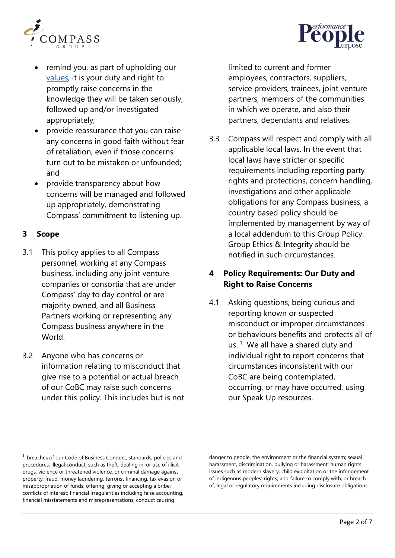



- remind you, as part of upholding our [values,](https://www.compass-group.com/en/who-we-are/vision-and-values.html) it is your duty and right to promptly raise concerns in the knowledge they will be taken seriously, followed up and/or investigated appropriately;
- provide reassurance that you can raise any concerns in good faith without fear of retaliation, even if those concerns turn out to be mistaken or unfounded; and
- provide transparency about how concerns will be managed and followed up appropriately, demonstrating Compass' commitment to listening up.

# **3 Scope**

- 3.1 This policy applies to all Compass personnel, working at any Compass business, including any joint venture companies or consortia that are under Compass' day to day control or are majority owned, and all Business Partners working or representing any Compass business anywhere in the World.
- 3.2 Anyone who has concerns or information relating to misconduct that give rise to a potential or actual breach of our CoBC may raise such concerns under this policy. This includes but is not

limited to current and former employees, contractors, suppliers, service providers, trainees, joint venture partners, members of the communities in which we operate, and also their partners, dependants and relatives.

3.3 Compass will respect and comply with all applicable local laws. In the event that local laws have stricter or specific requirements including reporting party rights and protections, concern handling, investigations and other applicable obligations for any Compass business, a country based policy should be implemented by management by way of a local addendum to this Group Policy. Group Ethics & Integrity should be notified in such circumstances.

# **4 Policy Requirements: Our Duty and Right to Raise Concerns**

4.1 Asking questions, being curious and reporting known or suspected misconduct or improper circumstances or behaviours benefits and protects all of us.  $1$  We all have a shared duty and individual right to report concerns that circumstances inconsistent with our CoBC are being contemplated, occurring, or may have occurred, using our Speak Up resources.

danger to people, the environment or the financial system; sexual harassment, discrimination, bullying or harassment; human rights issues such as modern slavery, child exploitation or the infringement of indigenous peoples' rights; and failure to comply with, or breach of, legal or regulatory requirements including disclosure obligations.

<span id="page-1-0"></span><sup>&</sup>lt;sup>1</sup> breaches of our Code of Business Conduct, standards, policies and procedures; illegal conduct, such as theft, dealing in, or use of illicit drugs, violence or threatened violence, or criminal damage against property; fraud, money laundering, terrorist financing, tax evasion or misappropriation of funds; offering, giving or accepting a bribe; conflicts of interest; financial irregularities including false accounting, financial misstatements and misrepresentations; conduct causing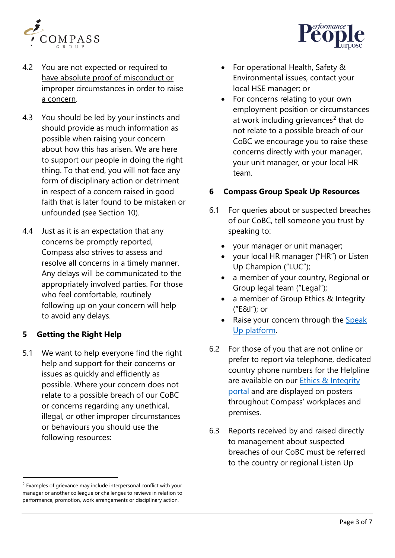



- 4.2 You are not expected or required to have absolute proof of misconduct or improper circumstances in order to raise a concern.
- 4.3 You should be led by your instincts and should provide as much information as possible when raising your concern about how this has arisen. We are here to support our people in doing the right thing. To that end, you will not face any form of disciplinary action or detriment in respect of a concern raised in good faith that is later found to be mistaken or unfounded (see Section 10).
- 4.4 Just as it is an expectation that any concerns be promptly reported, Compass also strives to assess and resolve all concerns in a timely manner. Any delays will be communicated to the appropriately involved parties. For those who feel comfortable, routinely following up on your concern will help to avoid any delays.

## **5 Getting the Right Help**

5.1 We want to help everyone find the right help and support for their concerns or issues as quickly and efficiently as possible. Where your concern does not relate to a possible breach of our CoBC or concerns regarding any unethical, illegal, or other improper circumstances or behaviours you should use the following resources:

- For operational Health, Safety & Environmental issues, contact your local HSE manager; or
- For concerns relating to your own employment position or circumstances at work including grievances<sup>[2](#page-2-0)</sup> that do not relate to a possible breach of our CoBC we encourage you to raise these concerns directly with your manager, your unit manager, or your local HR team.

# **6 Compass Group Speak Up Resources**

- 6.1 For queries about or suspected breaches of our CoBC, tell someone you trust by speaking to:
	- your manager or unit manager;
	- your local HR manager ("HR") or Listen Up Champion ("LUC");
	- a member of your country, Regional or Group legal team ("Legal");
	- a member of Group Ethics & Integrity ("E&I"); or
	- Raise your concern through the Speak Up [platform.](http://www.letintegritybeyourguide.com/speakup)
- 6.2 For those of you that are not online or prefer to report via telephone, dedicated country phone numbers for the Helpline are available on our [Ethics & Integrity](http://www.letintegritybeyourguide.com/speakup)  [portal](http://www.letintegritybeyourguide.com/speakup) and are displayed on posters throughout Compass' workplaces and premises.
- 6.3 Reports received by and raised directly to management about suspected breaches of our CoBC must be referred to the country or regional Listen Up

<span id="page-2-0"></span> $2$  Examples of grievance may include interpersonal conflict with your manager or another colleague or challenges to reviews in relation to performance, promotion, work arrangements or disciplinary action.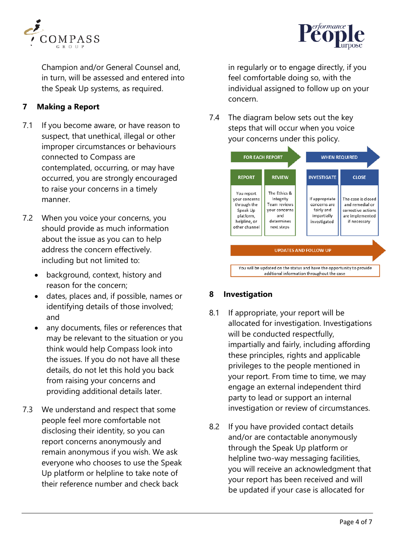



Champion and/or General Counsel and, in turn, will be assessed and entered into the Speak Up systems, as required.

# **7 Making a Report**

- 7.1 If you become aware, or have reason to suspect, that unethical, illegal or other improper circumstances or behaviours connected to Compass are contemplated, occurring, or may have occurred, you are strongly encouraged to raise your concerns in a timely manner.
- 7.2 When you voice your concerns, you should provide as much information about the issue as you can to help address the concern effectively. including but not limited to:
	- background, context, history and reason for the concern;
	- dates, places and, if possible, names or identifying details of those involved; and
	- any documents, files or references that may be relevant to the situation or you think would help Compass look into the issues. If you do not have all these details, do not let this hold you back from raising your concerns and providing additional details later.
- 7.3 We understand and respect that some people feel more comfortable not disclosing their identity, so you can report concerns anonymously and remain anonymous if you wish. We ask everyone who chooses to use the Speak Up platform or helpline to take note of their reference number and check back

in regularly or to engage directly, if you feel comfortable doing so, with the individual assigned to follow up on your concern.

7.4 The diagram below sets out the key steps that will occur when you voice your concerns under this policy.



# **8 Investigation**

- 8.1 If appropriate, your report will be allocated for investigation. Investigations will be conducted respectfully, impartially and fairly, including affording these principles, rights and applicable privileges to the people mentioned in your report. From time to time, we may engage an external independent third party to lead or support an internal investigation or review of circumstances.
- 8.2 If you have provided contact details and/or are contactable anonymously through the Speak Up platform or helpline two-way messaging facilities, you will receive an acknowledgment that your report has been received and will be updated if your case is allocated for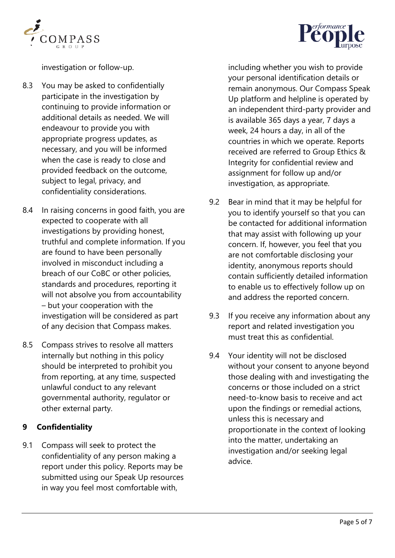



investigation or follow-up.

- 8.3 You may be asked to confidentially participate in the investigation by continuing to provide information or additional details as needed. We will endeavour to provide you with appropriate progress updates, as necessary, and you will be informed when the case is ready to close and provided feedback on the outcome, subject to legal, privacy, and confidentiality considerations.
- 8.4 In raising concerns in good faith, you are expected to cooperate with all investigations by providing honest, truthful and complete information. If you are found to have been personally involved in misconduct including a breach of our CoBC or other policies, standards and procedures, reporting it will not absolve you from accountability – but your cooperation with the investigation will be considered as part of any decision that Compass makes.
- 8.5 Compass strives to resolve all matters internally but nothing in this policy should be interpreted to prohibit you from reporting, at any time, suspected unlawful conduct to any relevant governmental authority, regulator or other external party.

## **9 Confidentiality**

9.1 Compass will seek to protect the confidentiality of any person making a report under this policy. Reports may be submitted using our Speak Up resources in way you feel most comfortable with,

including whether you wish to provide your personal identification details or remain anonymous. Our Compass Speak Up [platform](https://www.compass-speakup.com/) and helpline is operated by an independent third-party provider and is available 365 days a year, 7 days a week, 24 hours a day, in all of the countries in which we operate. Reports received are referred to Group Ethics & Integrity for confidential review and assignment for follow up and/or investigation, as appropriate.

- 9.2 Bear in mind that it may be helpful for you to identify yourself so that you can be contacted for additional information that may assist with following up your concern. If, however, you feel that you are not comfortable disclosing your identity, anonymous reports should contain sufficiently detailed information to enable us to effectively follow up on and address the reported concern.
- 9.3 If you receive any information about any report and related investigation you must treat this as confidential.
- 9.4 Your identity will not be disclosed without your consent to anyone beyond those dealing with and investigating the concerns or those included on a strict need-to-know basis to receive and act upon the findings or remedial actions, unless this is necessary and proportionate in the context of looking into the matter, undertaking an investigation and/or seeking legal advice.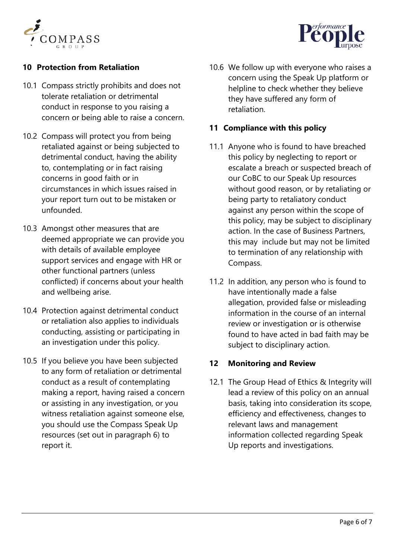



# **10 Protection from Retaliation**

- 10.1 Compass strictly prohibits and does not tolerate retaliation or detrimental conduct in response to you raising a concern or being able to raise a concern.
- 10.2 Compass will protect you from being retaliated against or being subjected to detrimental conduct, having the ability to, contemplating or in fact raising concerns in good faith or in circumstances in which issues raised in your report turn out to be mistaken or unfounded.
- 10.3 Amongst other measures that are deemed appropriate we can provide you with details of available employee support services and engage with HR or other functional partners (unless conflicted) if concerns about your health and wellbeing arise.
- 10.4 Protection against detrimental conduct or retaliation also applies to individuals conducting, assisting or participating in an investigation under this policy.
- 10.5 If you believe you have been subjected to any form of retaliation or detrimental conduct as a result of contemplating making a report, having raised a concern or assisting in any investigation, or you witness retaliation against someone else, you should use the Compass Speak Up resources (set out in paragraph 6) to report it.

10.6 We follow up with everyone who raises a concern using the Speak Up platform or helpline to check whether they believe they have suffered any form of retaliation.

## **11 Compliance with this policy**

- 11.1 Anyone who is found to have breached this policy by neglecting to report or escalate a breach or suspected breach of our CoBC to our Speak Up resources without good reason, or by retaliating or being party to retaliatory conduct against any person within the scope of this policy, may be subject to disciplinary action. In the case of Business Partners, this may include but may not be limited to termination of any relationship with Compass.
- 11.2 In addition, any person who is found to have intentionally made a false allegation, provided false or misleading information in the course of an internal review or investigation or is otherwise found to have acted in bad faith may be subject to disciplinary action.

## **12 Monitoring and Review**

12.1 The Group Head of Ethics & Integrity will lead a review of this policy on an annual basis, taking into consideration its scope, efficiency and effectiveness, changes to relevant laws and management information collected regarding Speak Up reports and investigations.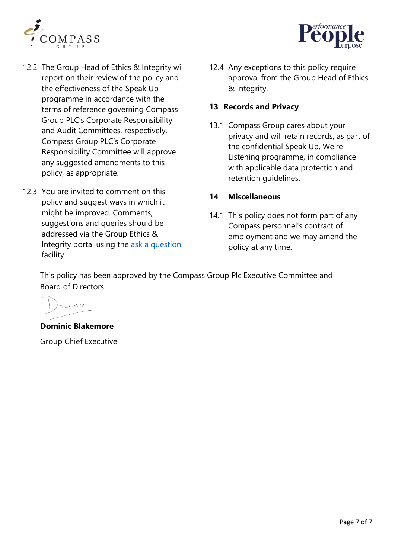



- 12.2 The Group Head of Ethics & Integrity will report on their review of the policy and the effectiveness of the Speak Up programme in accordance with the terms of reference governing Compass Group PLC's Corporate Responsibility and Audit Committees, respectively. Compass Group PLC's Corporate Responsibility Committee will approve any suggested amendments to this policy, as appropriate.
- 12.3 You are invited to comment on this policy and suggest ways in which it might be improved. Comments, suggestions and queries should be addressed via the Group Ethics & Integrity portal using the ask a [question](http://www.letintegritybeyourguide.com/) facility.

12.4 Any exceptions to this policy require approval from the Group Head of Ethics & Integrity.

### **13 Records and Privacy**

13.1 Compass Group cares about your privacy and will retain records, as part of the confidential Speak Up, We're Listening programme, in compliance with applicable data protection and retention guidelines.

#### **14 Miscellaneous**

14.1 This policy does not form part of any Compass personnel's contract of employment and we may amend the policy at any time.

This policy has been approved by the Compass Group Plc Executive Committee and Board of Directors.

 $O(x)$  in :  $C$ 

**Dominic Blakemore** 

Group Chief Executive